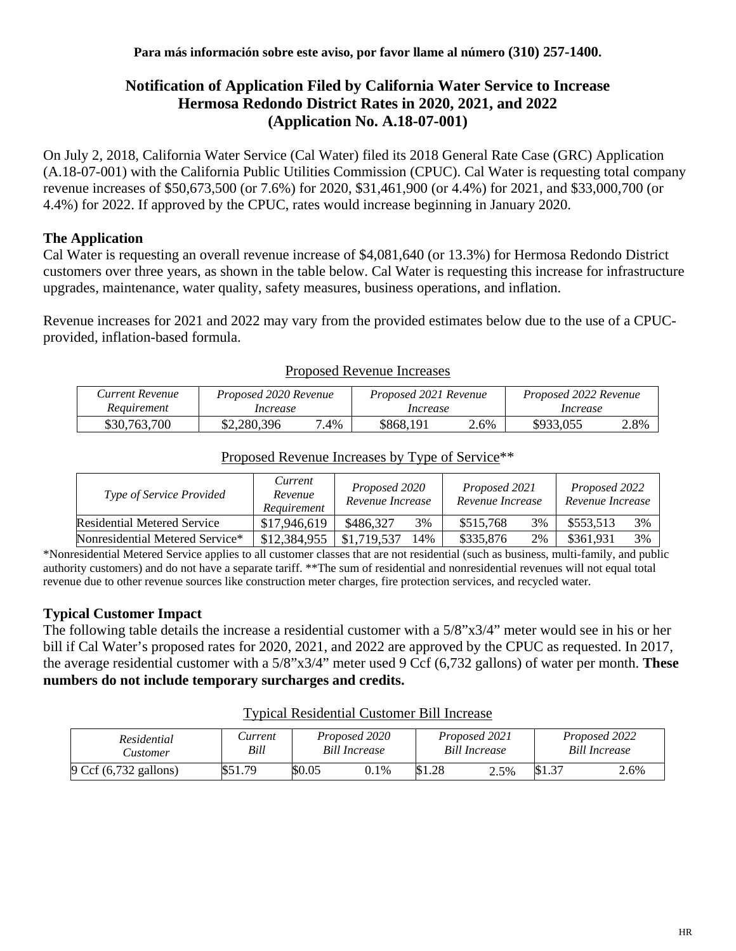# **Notification of Application Filed by California Water Service to Increase Hermosa Redondo District Rates in 2020, 2021, and 2022 (Application No. A.18-07-001)**

On July 2, 2018, California Water Service (Cal Water) filed its 2018 General Rate Case (GRC) Application (A.18-07-001) with the California Public Utilities Commission (CPUC). Cal Water is requesting total company revenue increases of \$50,673,500 (or 7.6%) for 2020, \$31,461,900 (or 4.4%) for 2021, and \$33,000,700 (or 4.4%) for 2022. If approved by the CPUC, rates would increase beginning in January 2020.

## **The Application**

Cal Water is requesting an overall revenue increase of \$4,081,640 (or 13.3%) for Hermosa Redondo District customers over three years, as shown in the table below. Cal Water is requesting this increase for infrastructure upgrades, maintenance, water quality, safety measures, business operations, and inflation.

Revenue increases for 2021 and 2022 may vary from the provided estimates below due to the use of a CPUCprovided, inflation-based formula.

| Current Revenue | Proposed 2020 Revenue |      | Proposed 2021 Revenue |      | Proposed 2022 Revenue |      |  |
|-----------------|-----------------------|------|-----------------------|------|-----------------------|------|--|
| Requirement     | Increase              |      | Increase              |      | Increase              |      |  |
| \$30,763,700    | \$2,280,396           | 7.4% | \$868,191             | 2.6% | \$933,055             | 2.8% |  |

#### Proposed Revenue Increases

| Proposed Revenue Increases by Type of Service <sup>**</sup> |  |  |
|-------------------------------------------------------------|--|--|
|                                                             |  |  |

| <i>Type of Service Provided</i>    | Current<br>Revenue<br>Requirement | Proposed 2020<br>Revenue Increase |     | Proposed 2021<br>Revenue Increase |    | Proposed 2022<br>Revenue Increase |    |
|------------------------------------|-----------------------------------|-----------------------------------|-----|-----------------------------------|----|-----------------------------------|----|
| <b>Residential Metered Service</b> | \$17,946,619                      | \$486.327                         | 3%  | \$515,768                         | 3% | \$553,513                         | 3% |
| Nonresidential Metered Service*    | \$12,384,955                      | \$1,719,537                       | 14% | \$335,876                         | 2% | \$361,931                         | 3% |

\*Nonresidential Metered Service applies to all customer classes that are not residential (such as business, multi-family, and public authority customers) and do not have a separate tariff. \*\*The sum of residential and nonresidential revenues will not equal total revenue due to other revenue sources like construction meter charges, fire protection services, and recycled water.

### **Typical Customer Impact**

The following table details the increase a residential customer with a 5/8"x3/4" meter would see in his or her bill if Cal Water's proposed rates for 2020, 2021, and 2022 are approved by the CPUC as requested. In 2017, the average residential customer with a 5/8"x3/4" meter used 9 Ccf (6,732 gallons) of water per month. **These numbers do not include temporary surcharges and credits.**

| Residential<br><b>Customer</b> | Current<br>Bill | Proposed 2020<br><b>Bill Increase</b> |      | Proposed 2021<br><b>Bill Increase</b> |      | Proposed 2022<br><b>Bill Increase</b> |      |
|--------------------------------|-----------------|---------------------------------------|------|---------------------------------------|------|---------------------------------------|------|
| 9 Ccf (6,732 gallons)          | \$51.79         | \$0.05                                | 0.1% | \$1.28                                | 2.5% | \$1.37                                | 2.6% |

#### Typical Residential Customer Bill Increase